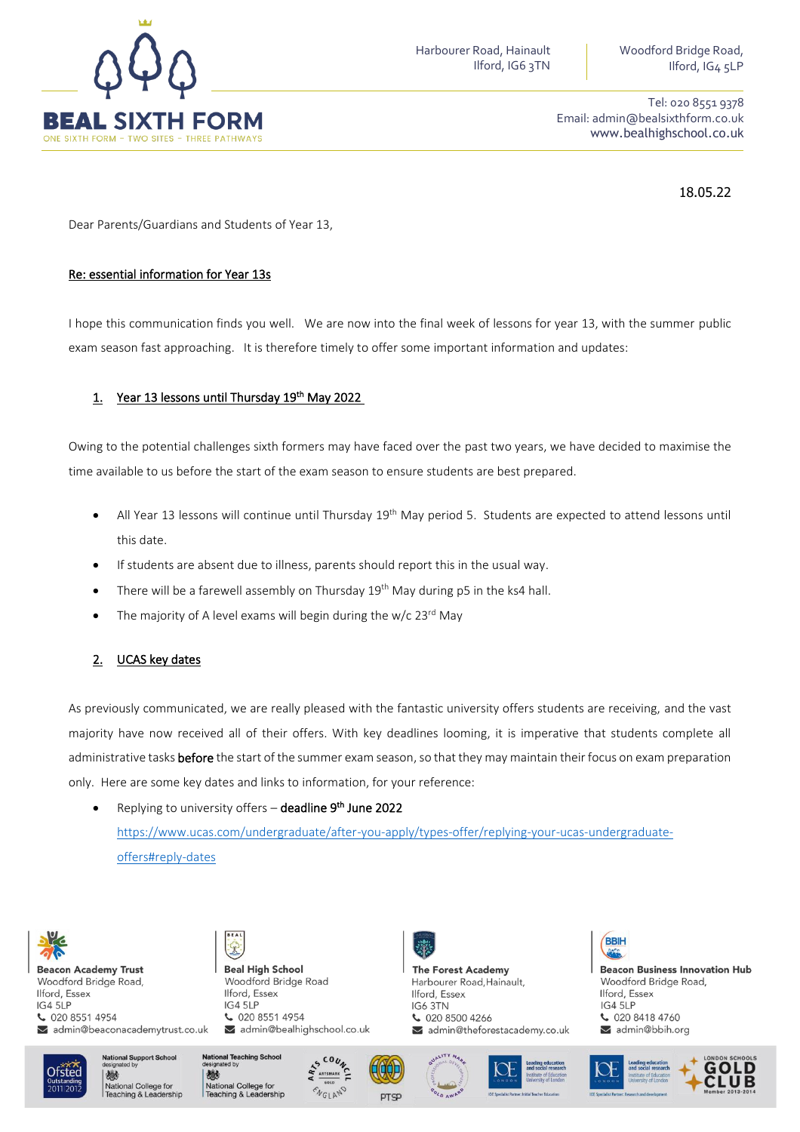

Tel: 020 8551 9378 Email: admin@bealsixthform.co.uk www.bealhighschool.co.uk

18.05.22

Dear Parents/Guardians and Students of Year 13,

#### Re: essential information for Year 13s

I hope this communication finds you well. We are now into the final week of lessons for year 13, with the summer public exam season fast approaching. It is therefore timely to offer some important information and updates:

## 1. Year 13 lessons until Thursday 19th May 2022

Owing to the potential challenges sixth formers may have faced over the past two years, we have decided to maximise the time available to us before the start of the exam season to ensure students are best prepared.

- All Year 13 lessons will continue until Thursday 19<sup>th</sup> May period 5. Students are expected to attend lessons until this date.
- If students are absent due to illness, parents should report this in the usual way.
- There will be a farewell assembly on Thursday 19<sup>th</sup> May during p5 in the ks4 hall.
- The majority of A level exams will begin during the  $w/c$  23<sup>rd</sup> May

## 2. UCAS key dates

As previously communicated, we are really pleased with the fantastic university offers students are receiving, and the vast majority have now received all of their offers. With key deadlines looming, it is imperative that students complete all administrative tasks before the start of the summer exam season, so that they may maintain their focus on exam preparation only. Here are some key dates and links to information, for your reference:

• Replying to university offers – **deadline 9<sup>th</sup> June 2022** [https://www.ucas.com/undergraduate/after-you-apply/types-offer/replying-your-ucas-undergraduate](https://www.ucas.com/undergraduate/after-you-apply/types-offer/replying-your-ucas-undergraduate-offers#reply-dates)[offers#reply-dates](https://www.ucas.com/undergraduate/after-you-apply/types-offer/replying-your-ucas-undergraduate-offers#reply-dates)



**Beacon Academy Trust** Woodford Bridge Road, Ilford, Essex IG4 5LP € 020 8551 4954 admin@beaconacademytrust.co.uk **Beal High School** Woodford Bridge Road Ilford, Essex IG4 5LP  $02085514954$ admin@bealhighschool.co.uk





admin@theforestacademy.co.uk



**Beacon Business Innovation Hub** Woodford Bridge Road, Ilford, Essex  $IG4$  5LP € 020 8418 4760 admin@bbih.org



**National Support Schoo** 機 National College for<br>Teaching & Leadership







**The Forest Academy** 

 $02085004266$ 

Ilford, Essex

IG6 3TN

Harbourer Road, Hainault,



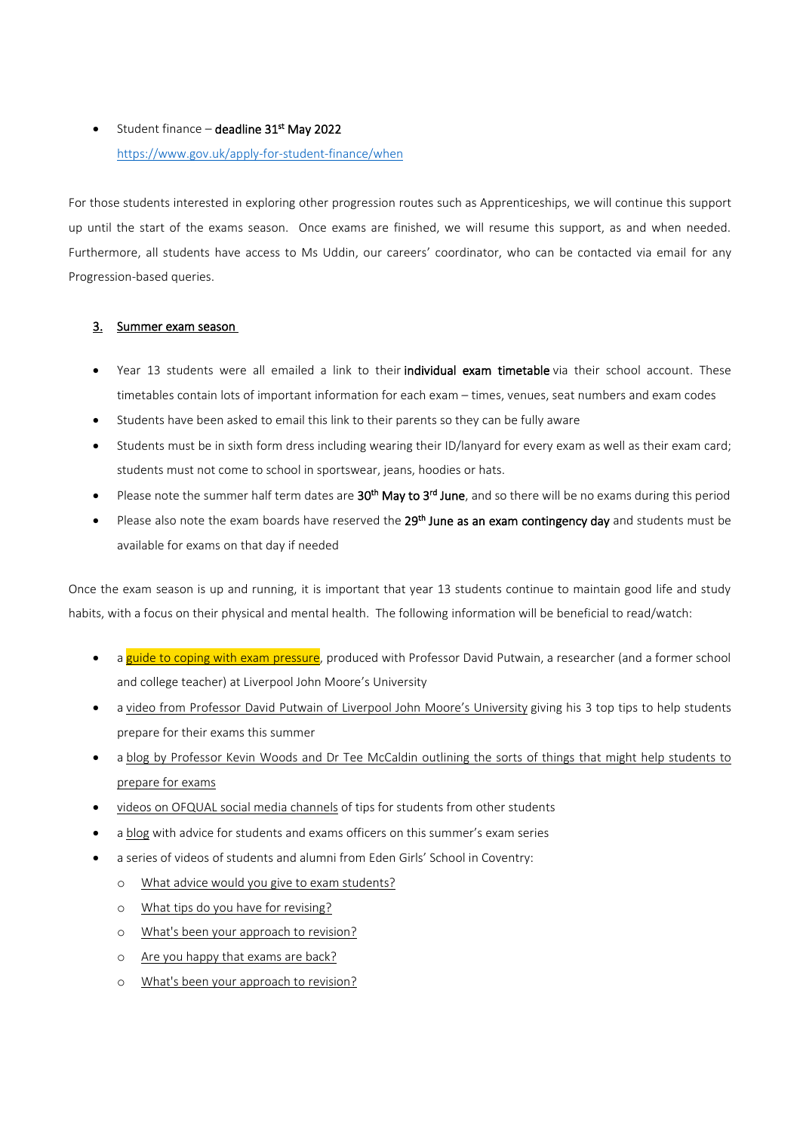# • Student finance – **deadline 31<sup>st</sup> May 2022** <https://www.gov.uk/apply-for-student-finance/when>

For those students interested in exploring other progression routes such as Apprenticeships, we will continue this support up until the start of the exams season. Once exams are finished, we will resume this support, as and when needed. Furthermore, all students have access to Ms Uddin, our careers' coordinator, who can be contacted via email for any Progression-based queries.

## 3. Summer exam season

- Year 13 students were all emailed a link to their individual exam timetable via their school account. These timetables contain lots of important information for each exam – times, venues, seat numbers and exam codes
- Students have been asked to email this link to their parents so they can be fully aware
- Students must be in sixth form dress including wearing their ID/lanyard for every exam as well as their exam card; students must not come to school in sportswear, jeans, hoodies or hats.
- $\bullet$  Please note the summer half term dates are  $30^{\text{th}}$  May to  $3^{\text{rd}}$  June, and so there will be no exams during this period
- Please also note the exam boards have reserved the 29<sup>th</sup> June as an exam contingency day and students must be available for exams on that day if needed

Once the exam season is up and running, it is important that year 13 students continue to maintain good life and study habits, with a focus on their physical and mental health. The following information will be beneficial to read/watch:

- a guide to coping with exam [pressure,](https://www.gov.uk/government/publications/coping-with-exam-pressure-a-guide-for-students/coping-with-exam-pressure-a-guide-for-students) produced with Professor David Putwain, a researcher (and a former school and college teacher) at Liverpool John Moore's University
- a video from Professor David Putwain of Liverpool John Moore's [University](https://youtu.be/q39RAAYAf94) giving his 3 top tips to help students prepare for their exams this summer
- a blog by [Professor](https://ofqual.blog.gov.uk/2022/02/10/what-sorts-of-things-might-help-you-prepare-for-exams/) Kevin Woods and Dr Tee McCaldin outlining the sorts of things that might help students to [prepare](https://ofqual.blog.gov.uk/2022/02/10/what-sorts-of-things-might-help-you-prepare-for-exams/) for exams
- videos on OFQUAL social media [channels](https://www.youtube.com/c/OfqualGovUk/videos) of tips for students from other students
- a [blog](https://ofqual.blog.gov.uk/2022/05/10/exams-are-starting-2/) with advice for students and exams officers on this summer's exam series
- a series of videos of students and alumni from Eden Girls' School in Coventry:
	- o What advice would you give to exam [students?](https://youtube.com/shorts/nZmxpRyeEVo?feature=share)
	- o What tips do you have for [revising?](https://youtube.com/shorts/h9y-FqP7414?feature=share)
	- o What's been your [approach](https://youtube.com/shorts/_SNoasGWhkI?feature=share) to revision?
	- o Are you happy that [exams](https://youtube.com/shorts/e8QUQtCskNU?feature=share) are back?
	- o What's been your [approach](https://youtube.com/shorts/eF0kNB2jfCA?feature=share) to revision?